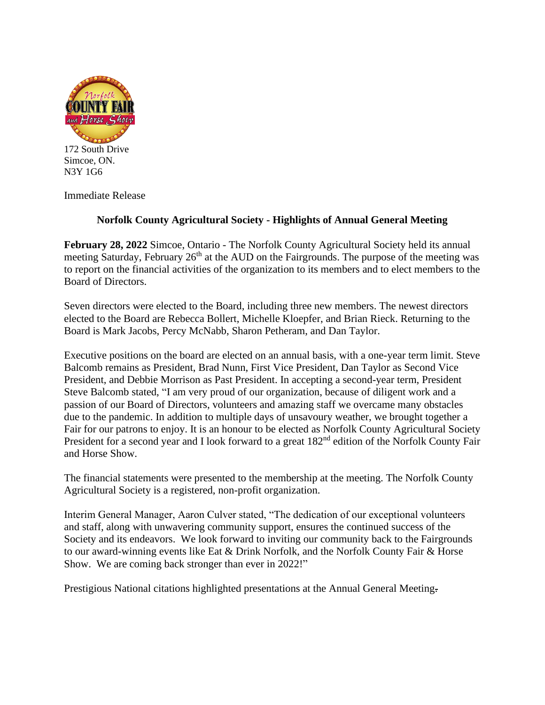

172 South Drive Simcoe, ON. N3Y 1G6

Immediate Release

## **Norfolk County Agricultural Society - Highlights of Annual General Meeting**

**February 28, 2022** Simcoe, Ontario - The Norfolk County Agricultural Society held its annual meeting Saturday, February  $26<sup>th</sup>$  at the AUD on the Fairgrounds. The purpose of the meeting was to report on the financial activities of the organization to its members and to elect members to the Board of Directors.

Seven directors were elected to the Board, including three new members. The newest directors elected to the Board are Rebecca Bollert, Michelle Kloepfer, and Brian Rieck. Returning to the Board is Mark Jacobs, Percy McNabb, Sharon Petheram, and Dan Taylor.

Executive positions on the board are elected on an annual basis, with a one-year term limit. Steve Balcomb remains as President, Brad Nunn, First Vice President, Dan Taylor as Second Vice President, and Debbie Morrison as Past President. In accepting a second-year term, President Steve Balcomb stated, "I am very proud of our organization, because of diligent work and a passion of our Board of Directors, volunteers and amazing staff we overcame many obstacles due to the pandemic. In addition to multiple days of unsavoury weather, we brought together a Fair for our patrons to enjoy. It is an honour to be elected as Norfolk County Agricultural Society President for a second year and I look forward to a great 182<sup>nd</sup> edition of the Norfolk County Fair and Horse Show.

The financial statements were presented to the membership at the meeting. The Norfolk County Agricultural Society is a registered, non-profit organization.

Interim General Manager, Aaron Culver stated, "The dedication of our exceptional volunteers and staff, along with unwavering community support, ensures the continued success of the Society and its endeavors. We look forward to inviting our community back to the Fairgrounds to our award-winning events like Eat & Drink Norfolk, and the Norfolk County Fair & Horse Show. We are coming back stronger than ever in 2022!"

Prestigious National citations highlighted presentations at the Annual General Meeting.